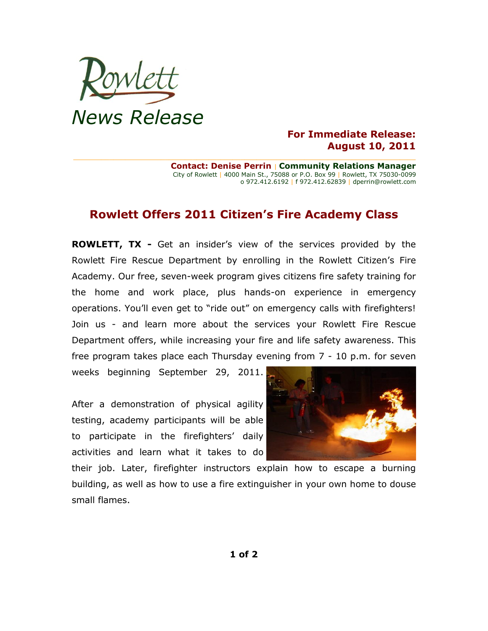

## **For Immediate Release: August 10, 2011**

**Contact: Denise Perrin** | **Community Relations Manager** City of Rowlett | 4000 Main St., 75088 or P.O. Box 99 | Rowlett, TX 75030-0099 o 972.412.6192 | f 972.412.62839 | dperrin@rowlett.com

## **Rowlett Offers 2011 Citizen's Fire Academy Class**

**ROWLETT, TX -** Get an insider's view of the services provided by the Rowlett Fire Rescue Department by enrolling in the Rowlett Citizen's Fire Academy. Our free, seven-week program gives citizens fire safety training for the home and work place, plus hands-on experience in emergency operations. You'll even get to "ride out" on emergency calls with firefighters! Join us - and learn more about the services your Rowlett Fire Rescue Department offers, while increasing your fire and life safety awareness. This free program takes place each Thursday evening from 7 - 10 p.m. for seven

weeks beginning September 29, 2011.

After a demonstration of physical agility testing, academy participants will be able to participate in the firefighters' daily activities and learn what it takes to do



their job. Later, firefighter instructors explain how to escape a burning building, as well as how to use a fire extinguisher in your own home to douse small flames.